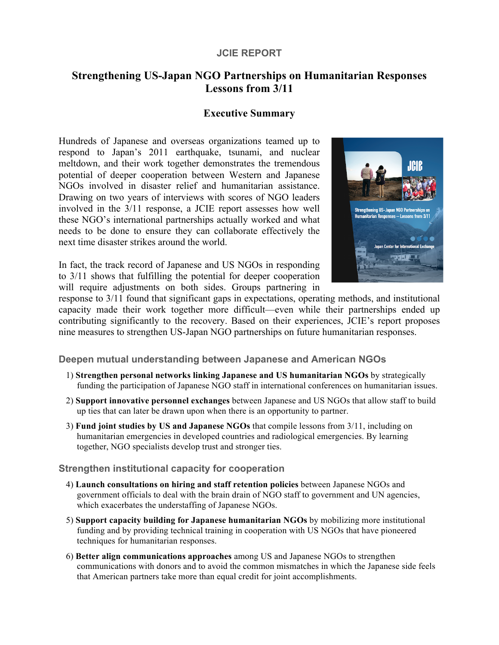### **JCIE REPORT**

# **Strengthening US-Japan NGO Partnerships on Humanitarian Responses Lessons from 3/11**

## **Executive Summary**

Hundreds of Japanese and overseas organizations teamed up to respond to Japan's 2011 earthquake, tsunami, and nuclear meltdown, and their work together demonstrates the tremendous potential of deeper cooperation between Western and Japanese NGOs involved in disaster relief and humanitarian assistance. Drawing on two years of interviews with scores of NGO leaders involved in the 3/11 response, a JCIE report assesses how well these NGO's international partnerships actually worked and what needs to be done to ensure they can collaborate effectively the next time disaster strikes around the world.

In fact, the track record of Japanese and US NGOs in responding to 3/11 shows that fulfilling the potential for deeper cooperation will require adjustments on both sides. Groups partnering in



response to 3/11 found that significant gaps in expectations, operating methods, and institutional capacity made their work together more difficult—even while their partnerships ended up contributing significantly to the recovery. Based on their experiences, JCIE's report proposes nine measures to strengthen US-Japan NGO partnerships on future humanitarian responses.

### **Deepen mutual understanding between Japanese and American NGOs**

- 1) **Strengthen personal networks linking Japanese and US humanitarian NGOs** by strategically funding the participation of Japanese NGO staff in international conferences on humanitarian issues.
- 2) **Support innovative personnel exchanges** between Japanese and US NGOs that allow staff to build up ties that can later be drawn upon when there is an opportunity to partner.
- 3) **Fund joint studies by US and Japanese NGOs** that compile lessons from 3/11, including on humanitarian emergencies in developed countries and radiological emergencies. By learning together, NGO specialists develop trust and stronger ties.

#### **Strengthen institutional capacity for cooperation**

- 4) **Launch consultations on hiring and staff retention policies** between Japanese NGOs and government officials to deal with the brain drain of NGO staff to government and UN agencies, which exacerbates the understaffing of Japanese NGOs.
- 5) **Support capacity building for Japanese humanitarian NGOs** by mobilizing more institutional funding and by providing technical training in cooperation with US NGOs that have pioneered techniques for humanitarian responses.
- 6) **Better align communications approaches** among US and Japanese NGOs to strengthen communications with donors and to avoid the common mismatches in which the Japanese side feels that American partners take more than equal credit for joint accomplishments.